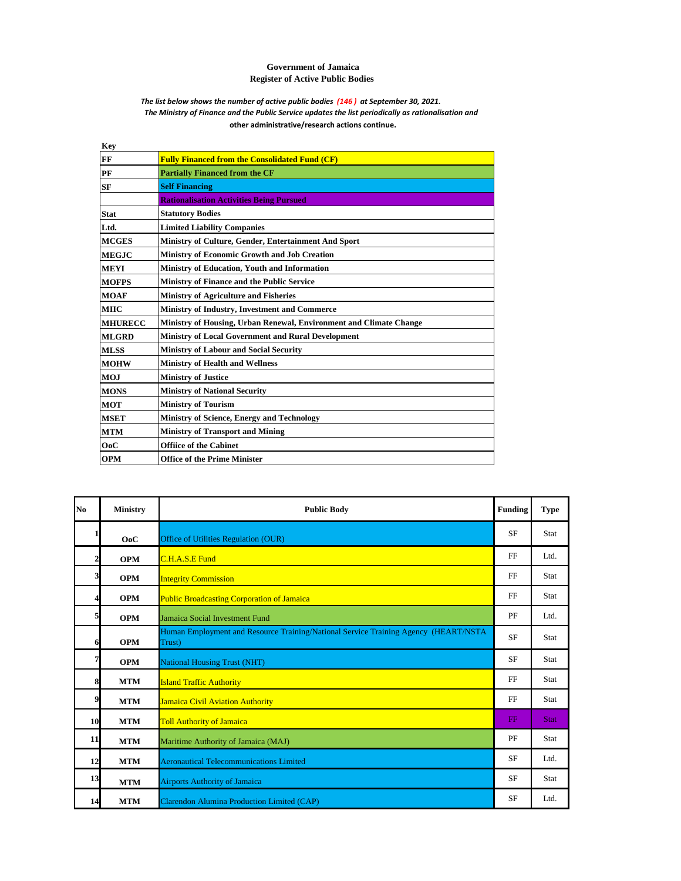## **Government of Jamaica Register of Active Public Bodies**

## *The list below shows the number of active public bodies (146 ) at September 30, 2021. The Ministry of Finance and the Public Service updates the list periodically as rationalisation and*  **other administrative/research actions continue.**

| <b>Fully Financed from the Consolidated Fund (CF)</b>              |
|--------------------------------------------------------------------|
| <b>Partially Financed from the CF</b>                              |
| <b>Self Financing</b>                                              |
| <b>Rationalisation Activities Being Pursued</b>                    |
| <b>Statutory Bodies</b>                                            |
| <b>Limited Liability Companies</b>                                 |
| Ministry of Culture, Gender, Entertainment And Sport               |
| Ministry of Economic Growth and Job Creation                       |
| Ministry of Education, Youth and Information                       |
| Ministry of Finance and the Public Service                         |
| <b>Ministry of Agriculture and Fisheries</b>                       |
| Ministry of Industry, Investment and Commerce                      |
| Ministry of Housing, Urban Renewal, Environment and Climate Change |
| <b>Ministry of Local Government and Rural Development</b>          |
| <b>Ministry of Labour and Social Security</b>                      |
| <b>Ministry of Health and Wellness</b>                             |
| <b>Ministry of Justice</b>                                         |
| <b>Ministry of National Security</b>                               |
| <b>Ministry of Tourism</b>                                         |
| <b>Ministry of Science, Energy and Technology</b>                  |
| <b>Ministry of Transport and Mining</b>                            |
| <b>Offiice of the Cabinet</b>                                      |
| <b>Office of the Prime Minister</b>                                |
|                                                                    |

| N <sub>0</sub> | <b>Ministry</b> | <b>Public Body</b>                                                                            | <b>Funding</b> | <b>Type</b> |
|----------------|-----------------|-----------------------------------------------------------------------------------------------|----------------|-------------|
|                | OoC             | Office of Utilities Regulation (OUR)                                                          | <b>SF</b>      | Stat        |
| $\mathbf{2}$   | <b>OPM</b>      | C.H.A.S.E Fund                                                                                | FF             | Ltd.        |
| 3              | <b>OPM</b>      | <b>Integrity Commission</b>                                                                   | FF             | Stat        |
| 4              | <b>OPM</b>      | <b>Public Broadcasting Corporation of Jamaica</b>                                             | FF             | Stat        |
| 5              | <b>OPM</b>      | Jamaica Social Investment Fund                                                                | PF             | Ltd.        |
| 6              | <b>OPM</b>      | Human Employment and Resource Training/National Service Training Agency (HEART/NSTA<br>Trust) | <b>SF</b>      | Stat        |
| 7              | <b>OPM</b>      | <b>National Housing Trust (NHT)</b>                                                           | <b>SF</b>      | Stat        |
| 8              | <b>MTM</b>      | <b>Island Traffic Authority</b>                                                               | FF             | Stat        |
| 9              | <b>MTM</b>      | <b>Jamaica Civil Aviation Authority</b>                                                       | FF             | Stat        |
| 10             | <b>MTM</b>      | <b>Toll Authority of Jamaica</b>                                                              | FF             | <b>Stat</b> |
| 11             | <b>MTM</b>      | Maritime Authority of Jamaica (MAJ)                                                           | PF             | Stat        |
| 12             | <b>MTM</b>      | <b>Aeronautical Telecommunications Limited</b>                                                | <b>SF</b>      | Ltd.        |
| 13             | <b>MTM</b>      | <b>Airports Authority of Jamaica</b>                                                          | <b>SF</b>      | Stat        |
| 14             | <b>MTM</b>      | Clarendon Alumina Production Limited (CAP)                                                    | <b>SF</b>      | Ltd.        |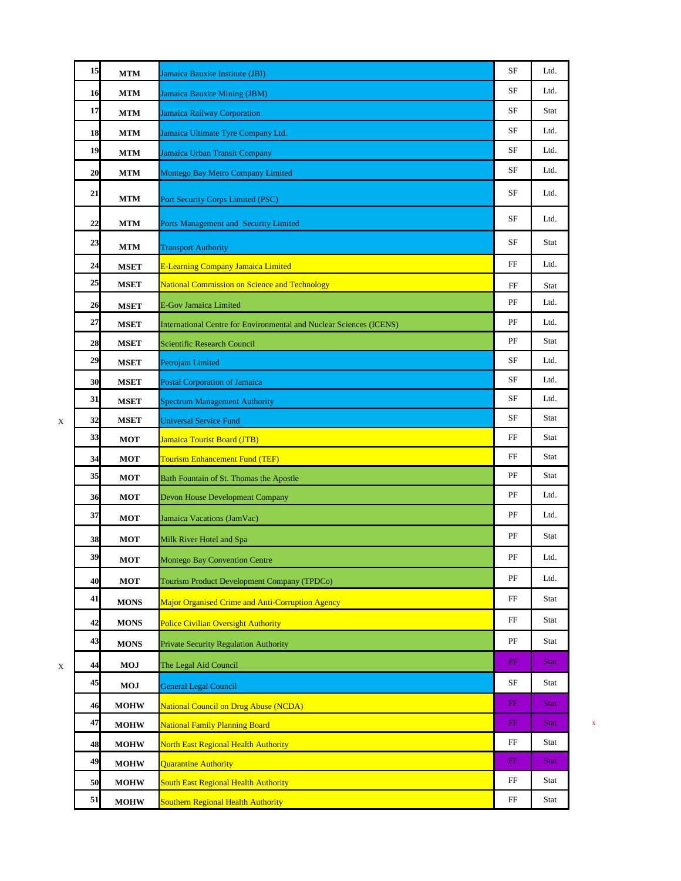|   | 15 | $\bf{MTM}$   | Jamaica Bauxite Institute (JBI)                                     | SF          | Ltd.        |   |
|---|----|--------------|---------------------------------------------------------------------|-------------|-------------|---|
|   | 16 | <b>MTM</b>   | Jamaica Bauxite Mining (JBM)                                        | SF          | Ltd.        |   |
|   | 17 | <b>MTM</b>   | <b>Jamaica Railway Corporation</b>                                  | SF          | Stat        |   |
|   | 18 | <b>MTM</b>   | Jamaica Ultimate Tyre Company Ltd.                                  | SF          | Ltd.        |   |
|   | 19 | <b>MTM</b>   | Jamaica Urban Transit Company                                       | SF          | Ltd.        |   |
|   | 20 | <b>MTM</b>   | Montego Bay Metro Company Limited                                   | SF          | Ltd.        |   |
|   | 21 | <b>MTM</b>   | Port Security Corps Limited (PSC)                                   | SF          | Ltd.        |   |
|   | 22 | <b>MTM</b>   | Ports Management and Security Limited                               | SF          | Ltd.        |   |
|   | 23 | <b>MTM</b>   | <b>Transport Authority</b>                                          | SF          | Stat        |   |
|   | 24 | <b>MSET</b>  | E-Learning Company Jamaica Limited                                  | FF          | Ltd.        |   |
|   | 25 | <b>MSET</b>  | <b>National Commission on Science and Technology</b>                | FF          | Stat        |   |
|   | 26 | <b>MSET</b>  | <b>E-Gov Jamaica Limited</b>                                        | PF          | Ltd.        |   |
|   | 27 | <b>MSET</b>  | International Centre for Environmental and Nuclear Sciences (ICENS) | PF          | Ltd.        |   |
|   | 28 | <b>MSET</b>  | Scientific Research Council                                         | PF          | Stat        |   |
|   | 29 | <b>MSET</b>  | Petrojam Limited                                                    | SF          | Ltd.        |   |
|   | 30 | <b>MSET</b>  | <b>Postal Corporation of Jamaica</b>                                | SF          | Ltd.        |   |
|   | 31 | <b>MSET</b>  | <b>Spectrum Management Authority</b>                                | SF          | Ltd.        |   |
| X | 32 | <b>MSET</b>  | <b>Universal Service Fund</b>                                       | SF          | Stat        |   |
|   | 33 | <b>MOT</b>   | <b>Jamaica Tourist Board (JTB)</b>                                  | FF          | Stat        |   |
|   | 34 | <b>MOT</b>   | <b>Tourism Enhancement Fund (TEF)</b>                               | FF          | Stat        |   |
|   | 35 | <b>MOT</b>   | Bath Fountain of St. Thomas the Apostle                             | PF          | Stat        |   |
|   | 36 | <b>MOT</b>   | Devon House Development Company                                     | PF          | Ltd.        |   |
|   | 37 | <b>MOT</b>   | Jamaica Vacations (JamVac)                                          | PF          | Ltd.        |   |
|   | 38 | <b>MOT</b>   | Milk River Hotel and Spa                                            | PF          | Stat        |   |
|   | 39 | $_{\rm MOT}$ | Montego Bay Convention Centre                                       | PF          | Ltd.        |   |
|   | 40 | <b>MOT</b>   | Tourism Product Development Company (TPDCo)                         | PF          | Ltd.        |   |
|   | 41 | <b>MONS</b>  | Major Organised Crime and Anti-Corruption Agency                    | FF          | Stat        |   |
|   | 42 | <b>MONS</b>  | <b>Police Civilian Oversight Authority</b>                          | FF          | Stat        |   |
|   | 43 | <b>MONS</b>  | <b>Private Security Regulation Authority</b>                        | PF          | Stat        |   |
| X | 44 | <b>MOJ</b>   | The Legal Aid Council                                               | PF          | <b>Stat</b> |   |
|   | 45 | <b>MOJ</b>   | <b>General Legal Council</b>                                        | SF          | Stat        |   |
|   | 46 | <b>MOHW</b>  | National Council on Drug Abuse (NCDA)                               | $_{\rm FF}$ | <b>Stat</b> |   |
|   | 47 | <b>MOHW</b>  | <b>National Family Planning Board</b>                               | FF          | <b>Stat</b> | X |
|   | 48 | <b>MOHW</b>  | <b>North East Regional Health Authority</b>                         | FF          | Stat        |   |
|   | 49 | <b>MOHW</b>  | <b>Quarantine Authority</b>                                         | FF          | <b>Stat</b> |   |
|   | 50 | <b>MOHW</b>  | <b>South East Regional Health Authority</b>                         | FF          | Stat        |   |
|   | 51 | <b>MOHW</b>  | <b>Southern Regional Health Authority</b>                           | $_{\rm FF}$ | Stat        |   |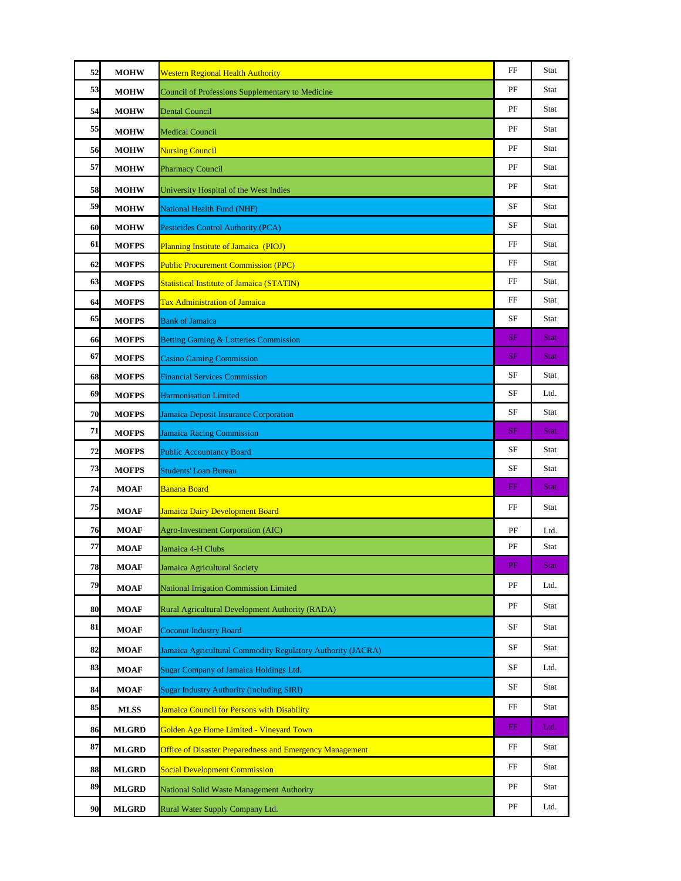| 52 | <b>MOHW</b>  | <b>Western Regional Health Authority</b>                        | FF          | Stat        |
|----|--------------|-----------------------------------------------------------------|-------------|-------------|
| 53 | <b>MOHW</b>  | Council of Professions Supplementary to Medicine                | PF          | Stat        |
| 54 | <b>MOHW</b>  | <b>Dental Council</b>                                           | PF          | Stat        |
| 55 | <b>MOHW</b>  | <b>Medical Council</b>                                          | PF          | Stat        |
| 56 | <b>MOHW</b>  | <b>Nursing Council</b>                                          | PF          | Stat        |
| 57 | <b>MOHW</b>  | <b>Pharmacy Council</b>                                         | PF          | Stat        |
| 58 | <b>MOHW</b>  | University Hospital of the West Indies                          | PF          | Stat        |
| 59 | <b>MOHW</b>  | <b>National Health Fund (NHF)</b>                               | SF          | Stat        |
| 60 | <b>MOHW</b>  | Pesticides Control Authority (PCA)                              | SF          | Stat        |
| 61 | <b>MOFPS</b> | <b>Planning Institute of Jamaica (PIOJ)</b>                     | FF          | Stat        |
| 62 | <b>MOFPS</b> | <b>Public Procurement Commission (PPC)</b>                      | FF          | Stat        |
| 63 | <b>MOFPS</b> | <b>Statistical Institute of Jamaica (STATIN)</b>                | FF          | Stat        |
| 64 | <b>MOFPS</b> | <b>Tax Administration of Jamaica</b>                            | FF          | Stat        |
| 65 | <b>MOFPS</b> | <b>Bank of Jamaica</b>                                          | SF          | Stat        |
| 66 | <b>MOFPS</b> | <b>Betting Gaming &amp; Lotteries Commission</b>                | SF          | <b>Stat</b> |
| 67 | <b>MOFPS</b> | <b>Casino Gaming Commission</b>                                 | SF          | <b>Stat</b> |
| 68 | <b>MOFPS</b> | <b>Financial Services Commission</b>                            | SF          | Stat        |
| 69 | <b>MOFPS</b> | <b>Harmonisation Limited</b>                                    | SF          | Ltd.        |
| 70 | <b>MOFPS</b> | <b>Jamaica Deposit Insurance Corporation</b>                    | SF          | Stat        |
| 71 | <b>MOFPS</b> | <b>Jamaica Racing Commission</b>                                | SF          | <b>Stat</b> |
| 72 | <b>MOFPS</b> | <b>Public Accountancy Board</b>                                 | SF          | Stat        |
| 73 | <b>MOFPS</b> | <b>Students' Loan Bureau</b>                                    | SF          | Stat        |
| 74 | <b>MOAF</b>  | Banana Board                                                    | FF          | <b>Stat</b> |
| 75 | <b>MOAF</b>  | <b>Jamaica Dairy Development Board</b>                          | FF          | Stat        |
| 76 | <b>MOAF</b>  | Agro-Investment Corporation (AIC)                               | PF          | Ltd.        |
| 77 | <b>MOAF</b>  | Jamaica 4-H Clubs                                               | PF          | Stat        |
| 78 | <b>MOAF</b>  | Jamaica Agricultural Society                                    | PF          | <b>Stat</b> |
| 79 | <b>MOAF</b>  | <b>National Irrigation Commission Limited</b>                   | PF          | Ltd.        |
| 80 | <b>MOAF</b>  | <b>Rural Agricultural Development Authority (RADA)</b>          | PF          | Stat        |
| 81 | <b>MOAF</b>  | <b>Coconut Industry Board</b>                                   | SF          | Stat        |
| 82 | <b>MOAF</b>  | Jamaica Agricultural Commodity Regulatory Authority (JACRA)     | SF          | Stat        |
| 83 | <b>MOAF</b>  | <b>Sugar Company of Jamaica Holdings Ltd.</b>                   | SF          | Ltd.        |
| 84 | <b>MOAF</b>  | <b>Sugar Industry Authority (including SIRI)</b>                | SF          | Stat        |
| 85 | <b>MLSS</b>  | <b>Jamaica Council for Persons with Disability</b>              | FF          | Stat        |
| 86 | <b>MLGRD</b> | Golden Age Home Limited - Vineyard Town                         | FF          | Ltd.        |
| 87 | <b>MLGRD</b> | <b>Office of Disaster Preparedness and Emergency Management</b> | $_{\rm FF}$ | Stat        |
| 88 | <b>MLGRD</b> | <b>Social Development Commission</b>                            | $_{\rm FF}$ | Stat        |
| 89 | <b>MLGRD</b> | National Solid Waste Management Authority                       | PF          | Stat        |
| 90 | <b>MLGRD</b> | Rural Water Supply Company Ltd.                                 | PF          | Ltd.        |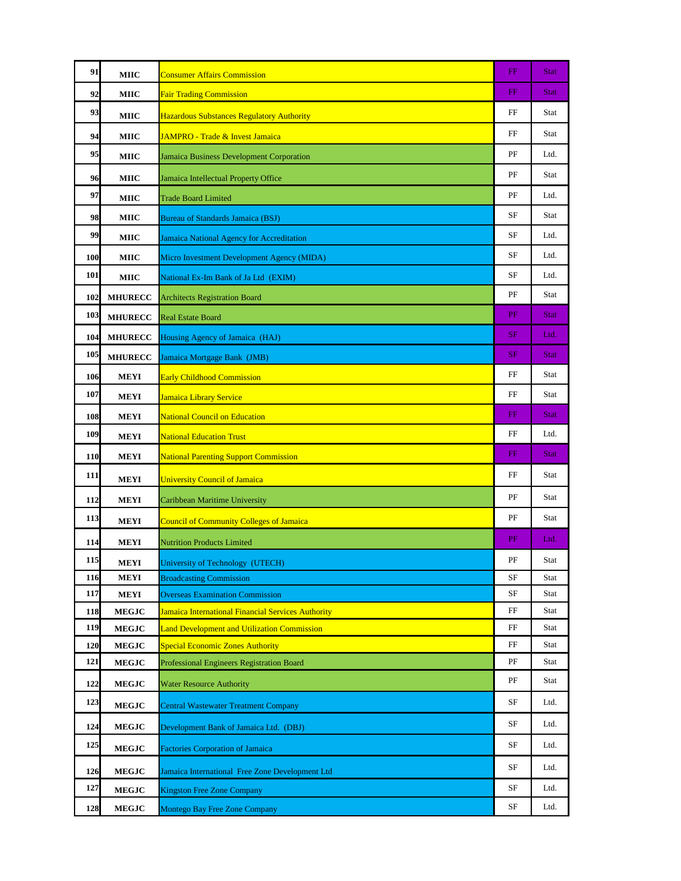| 91         | <b>MIIC</b>    | <b>Consumer Affairs Commission</b>                 | FF          | <b>Stat</b> |
|------------|----------------|----------------------------------------------------|-------------|-------------|
| 92         | MIIC           | <b>Fair Trading Commission</b>                     | $_{\rm FF}$ | <b>Stat</b> |
| 93         | <b>MIIC</b>    | <b>Hazardous Substances Regulatory Authority</b>   | FF          | Stat        |
| 94         | MIIC           | JAMPRO - Trade & Invest Jamaica                    | FF          | Stat        |
| 95         | <b>MIIC</b>    | Jamaica Business Development Corporation           | PF          | Ltd.        |
| 96         | MIIC           | Jamaica Intellectual Property Office               | PF          | Stat        |
| 97         | <b>MIIC</b>    | <b>Trade Board Limited</b>                         | PF          | Ltd.        |
| 98         | MIIC           | <b>Bureau of Standards Jamaica (BSJ)</b>           | SF          | Stat        |
| 99         | MIIC           | Jamaica National Agency for Accreditation          | SF          | Ltd.        |
| <b>100</b> | MIIC           | Micro Investment Development Agency (MIDA)         | SF          | Ltd.        |
| 101        | MIIC           | National Ex-Im Bank of Ja Ltd (EXIM)               | SF          | Ltd.        |
| 102        | <b>MHURECC</b> | <b>Architects Registration Board</b>               | PF          | Stat        |
| 103        | <b>MHURECC</b> | <b>Real Estate Board</b>                           | PF          | <b>Stat</b> |
| 104        | <b>MHURECC</b> | Housing Agency of Jamaica (HAJ)                    | SF          | Ltd.        |
| 105        | <b>MHURECC</b> | Jamaica Mortgage Bank (JMB)                        | SF          | <b>Stat</b> |
|            |                |                                                    | FF          | Stat        |
| 106<br>107 | <b>MEYI</b>    | <b>Early Childhood Commission</b>                  | FF          | Stat        |
|            | <b>MEYI</b>    | Jamaica Library Service                            | FF          | <b>Stat</b> |
| 108<br>109 | MEYI           | <b>National Council on Education</b>               | FF          | Ltd.        |
|            | <b>MEYI</b>    | <b>National Education Trust</b>                    | FF          | <b>Stat</b> |
| <b>110</b> | <b>MEYI</b>    | <b>National Parenting Support Commission</b>       |             |             |
| 111        | <b>MEYI</b>    | <b>University Council of Jamaica</b>               | FF          | Stat        |
| 112        | <b>MEYI</b>    | Caribbean Maritime University                      | PF          | Stat        |
| 113        | MEYI           | <b>Council of Community Colleges of Jamaica</b>    | PF          | Stat        |
| 114        | <b>MEYI</b>    | <b>Nutrition Products Limited</b>                  | PF          | Ltd.        |
| 115        | <b>MEYI</b>    | University of Technology (UTECH)                   | PF          | Stat        |
| 116        | MEYI           | <b>Broadcasting Commission</b>                     | SF          | Stat        |
| 117        | <b>MEYI</b>    | <b>Overseas Examination Commission</b>             | SF          | Stat        |
| 118        | <b>MEGJC</b>   | Jamaica International Financial Services Authority | $_{\rm FF}$ | Stat        |
| 119        | <b>MEGJC</b>   | <b>Land Development and Utilization Commission</b> | $_{\rm FF}$ | Stat        |
| 120        | <b>MEGJC</b>   | <b>Special Economic Zones Authority</b>            | FF          | Stat        |
| 121        | <b>MEGJC</b>   | Professional Engineers Registration Board          | PF          | Stat        |
| 122        | <b>MEGJC</b>   | <b>Water Resource Authority</b>                    | PF          | Stat        |
| 123        | <b>MEGJC</b>   | <b>Central Wastewater Treatment Company</b>        | SF          | Ltd.        |
| 124        | <b>MEGJC</b>   | Development Bank of Jamaica Ltd. (DBJ)             | SF          | Ltd.        |
| 125        | <b>MEGJC</b>   | <b>Factories Corporation of Jamaica</b>            | SF          | Ltd.        |
| 126        | <b>MEGJC</b>   | Jamaica International Free Zone Development Ltd    | SF          | Ltd.        |
| 127        | <b>MEGJC</b>   | <b>Kingston Free Zone Company</b>                  | SF          | Ltd.        |
| 128        | <b>MEGJC</b>   | <b>Montego Bay Free Zone Company</b>               | SF          | Ltd.        |